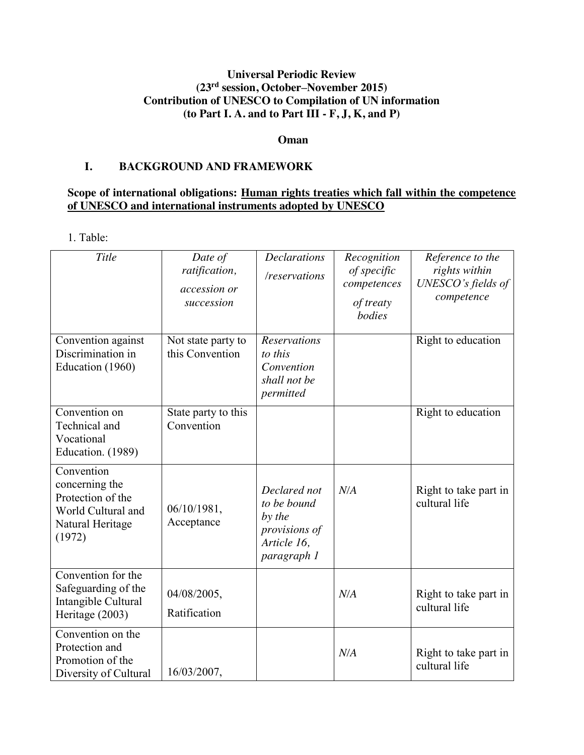# **Universal Periodic Review (23rd session, October–November 2015) Contribution of UNESCO to Compilation of UN information (to Part I. A. and to Part III - F, J, K, and P)**

#### **Oman**

#### **I. BACKGROUND AND FRAMEWORK**

### **Scope of international obligations: Human rights treaties which fall within the competence of UNESCO and international instruments adopted by UNESCO**

1. Table:

| <b>Title</b>                                                                                          | Date of<br>ratification,<br>accession or<br>succession | <b>Declarations</b><br>/reservations                                                 | Recognition<br>of specific<br>competences<br>of treaty<br>bodies | Reference to the<br>rights within<br>UNESCO's fields of<br>competence |
|-------------------------------------------------------------------------------------------------------|--------------------------------------------------------|--------------------------------------------------------------------------------------|------------------------------------------------------------------|-----------------------------------------------------------------------|
| Convention against<br>Discrimination in<br>Education (1960)                                           | Not state party to<br>this Convention                  | <b>Reservations</b><br>to this<br>Convention<br>shall not be<br>permitted            |                                                                  | Right to education                                                    |
| Convention on<br>Technical and<br>Vocational<br>Education. (1989)                                     | State party to this<br>Convention                      |                                                                                      |                                                                  | Right to education                                                    |
| Convention<br>concerning the<br>Protection of the<br>World Cultural and<br>Natural Heritage<br>(1972) | 06/10/1981,<br>Acceptance                              | Declared not<br>to be bound<br>by the<br>provisions of<br>Article 16,<br>paragraph 1 | N/A                                                              | Right to take part in<br>cultural life                                |
| Convention for the<br>Safeguarding of the<br>Intangible Cultural<br>Heritage (2003)                   | 04/08/2005,<br>Ratification                            |                                                                                      | N/A                                                              | Right to take part in<br>cultural life                                |
| Convention on the<br>Protection and<br>Promotion of the<br>Diversity of Cultural                      | 16/03/2007,                                            |                                                                                      | N/A                                                              | Right to take part in<br>cultural life                                |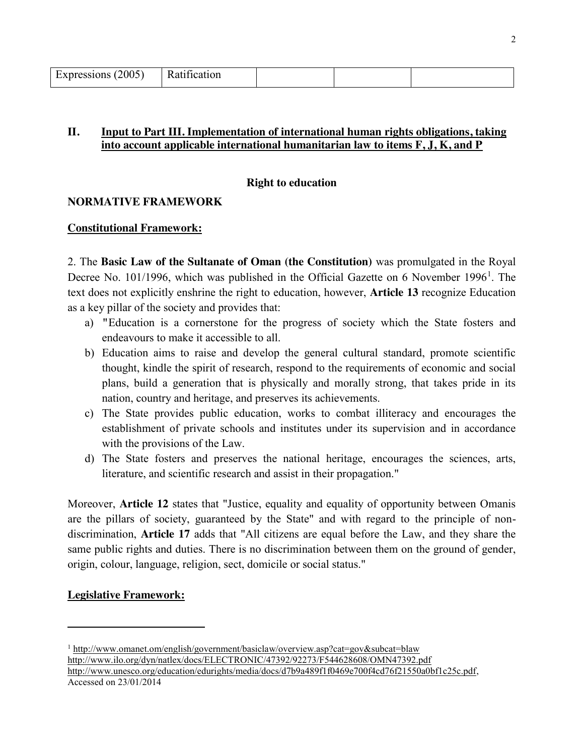| Expressions (2005) | $\sqrt{ }$<br>Katıfıcatıon |  |  |
|--------------------|----------------------------|--|--|
|                    |                            |  |  |

### **II. Input to Part III. Implementation of international human rights obligations, taking into account applicable international humanitarian law to items F, J, K, and P**

#### **Right to education**

### **NORMATIVE FRAMEWORK**

#### **Constitutional Framework:**

2. The **Basic Law of the Sultanate of Oman (the Constitution)** was promulgated in the Royal Decree No. 101/1996, which was published in the Official Gazette on 6 November 1996<sup>1</sup>. The text does not explicitly enshrine the right to education, however, **Article 13** recognize Education as a key pillar of the society and provides that:

- a) **"**Education is a cornerstone for the progress of society which the State fosters and endeavours to make it accessible to all.
- b) Education aims to raise and develop the general cultural standard, promote scientific thought, kindle the spirit of research, respond to the requirements of economic and social plans, build a generation that is physically and morally strong, that takes pride in its nation, country and heritage, and preserves its achievements.
- c) The State provides public education, works to combat illiteracy and encourages the establishment of private schools and institutes under its supervision and in accordance with the provisions of the Law.
- d) The State fosters and preserves the national heritage, encourages the sciences, arts, literature, and scientific research and assist in their propagation."

Moreover, **Article 12** states that "Justice, equality and equality of opportunity between Omanis are the pillars of society, guaranteed by the State" and with regard to the principle of nondiscrimination, **Article 17** adds that "All citizens are equal before the Law, and they share the same public rights and duties. There is no discrimination between them on the ground of gender, origin, colour, language, religion, sect, domicile or social status."

# **Legislative Framework:**

 $\overline{\phantom{a}}$ 

<sup>1</sup> http://www.omanet.om/english/government/basiclaw/overview.asp?cat=gov&subcat=blaw http://www.ilo.org/dyn/natlex/docs/ELECTRONIC/47392/92273/F544628608/OMN47392.pdf http://www.unesco.org/education/edurights/media/docs/d7b9a489f1f0469e700f4cd76f21550a0bf1c25c.pdf, Accessed on 23/01/2014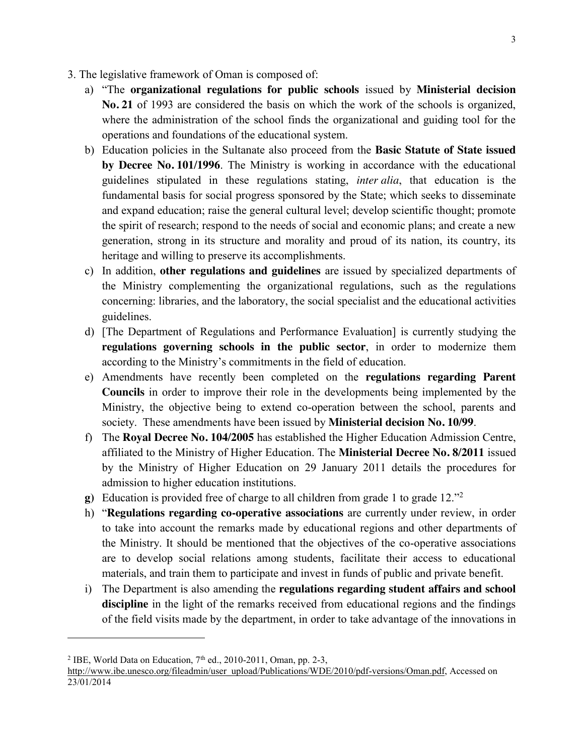- 3. The legislative framework of Oman is composed of:
	- a) "The **organizational regulations for public schools** issued by **Ministerial decision No. 21** of 1993 are considered the basis on which the work of the schools is organized, where the administration of the school finds the organizational and guiding tool for the operations and foundations of the educational system.
	- b) Education policies in the Sultanate also proceed from the **Basic Statute of State issued by Decree No. 101/1996**. The Ministry is working in accordance with the educational guidelines stipulated in these regulations stating, *inter alia*, that education is the fundamental basis for social progress sponsored by the State; which seeks to disseminate and expand education; raise the general cultural level; develop scientific thought; promote the spirit of research; respond to the needs of social and economic plans; and create a new generation, strong in its structure and morality and proud of its nation, its country, its heritage and willing to preserve its accomplishments.
	- c) In addition, **other regulations and guidelines** are issued by specialized departments of the Ministry complementing the organizational regulations, such as the regulations concerning: libraries, and the laboratory, the social specialist and the educational activities guidelines.
	- d) [The Department of Regulations and Performance Evaluation] is currently studying the **regulations governing schools in the public sector**, in order to modernize them according to the Ministry's commitments in the field of education.
	- e) Amendments have recently been completed on the **regulations regarding Parent Councils** in order to improve their role in the developments being implemented by the Ministry, the objective being to extend co-operation between the school, parents and society. These amendments have been issued by **Ministerial decision No. 10/99**.
	- f) The **Royal Decree No. 104/2005** has established the Higher Education Admission Centre, affiliated to the Ministry of Higher Education. The **Ministerial Decree No. 8/2011** issued by the Ministry of Higher Education on 29 January 2011 details the procedures for admission to higher education institutions.
	- **g)** Education is provided free of charge to all children from grade 1 to grade 12."<sup>2</sup>
	- h) "**Regulations regarding co-operative associations** are currently under review, in order to take into account the remarks made by educational regions and other departments of the Ministry. It should be mentioned that the objectives of the co-operative associations are to develop social relations among students, facilitate their access to educational materials, and train them to participate and invest in funds of public and private benefit.
	- i) The Department is also amending the **regulations regarding student affairs and school discipline** in the light of the remarks received from educational regions and the findings of the field visits made by the department, in order to take advantage of the innovations in

<sup>&</sup>lt;sup>2</sup> IBE, World Data on Education,  $7<sup>th</sup>$  ed., 2010-2011, Oman, pp. 2-3,

http://www.ibe.unesco.org/fileadmin/user\_upload/Publications/WDE/2010/pdf-versions/Oman.pdf, Accessed on 23/01/2014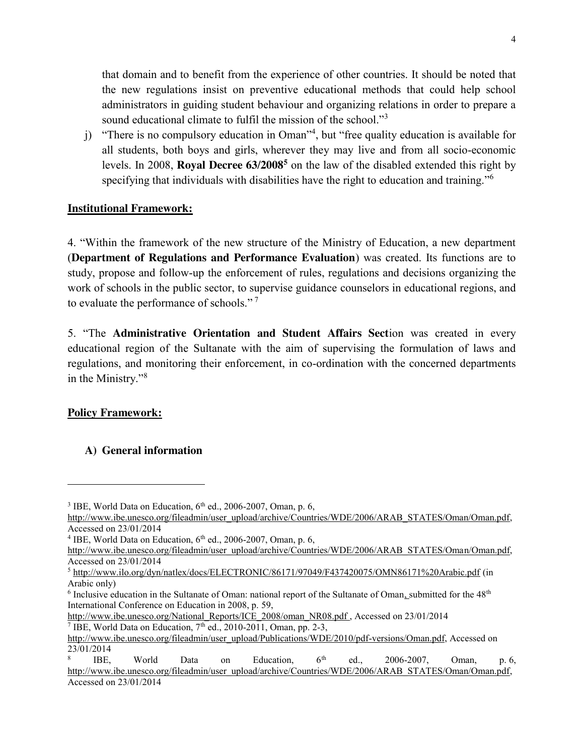that domain and to benefit from the experience of other countries. It should be noted that the new regulations insist on preventive educational methods that could help school administrators in guiding student behaviour and organizing relations in order to prepare a sound educational climate to fulfil the mission of the school."<sup>3</sup>

j) "There is no compulsory education in Oman"<sup>4</sup> , but "free quality education is available for all students, both boys and girls, wherever they may live and from all socio-economic levels. In 2008, **Royal Decree 63/20085** on the law of the disabled extended this right by specifying that individuals with disabilities have the right to education and training."<sup>6</sup>

### **Institutional Framework:**

4. "Within the framework of the new structure of the Ministry of Education, a new department (**Department of Regulations and Performance Evaluation**) was created. Its functions are to study, propose and follow-up the enforcement of rules, regulations and decisions organizing the work of schools in the public sector, to supervise guidance counselors in educational regions, and to evaluate the performance of schools." <sup>7</sup>

5. "The **Administrative Orientation and Student Affairs Sect**ion was created in every educational region of the Sultanate with the aim of supervising the formulation of laws and regulations, and monitoring their enforcement, in co-ordination with the concerned departments in the Ministry."<sup>8</sup>

# **Policy Framework:**

 $\overline{a}$ 

# **A) General information**

 $3$  IBE, World Data on Education,  $6<sup>th</sup>$  ed., 2006-2007, Oman, p. 6,

http://www.ibe.unesco.org/fileadmin/user\_upload/archive/Countries/WDE/2006/ARAB\_STATES/Oman/Oman.pdf, Accessed on 23/01/2014

 $4$  IBE, World Data on Education,  $6<sup>th</sup>$  ed., 2006-2007, Oman, p. 6,

http://www.ibe.unesco.org/fileadmin/user\_upload/archive/Countries/WDE/2006/ARAB\_STATES/Oman/Oman.pdf, Accessed on 23/01/2014

<sup>5</sup> http://www.ilo.org/dyn/natlex/docs/ELECTRONIC/86171/97049/F437420075/OMN86171%20Arabic.pdf (in Arabic only)

 $6$  Inclusive education in the Sultanate of Oman: national report of the Sultanate of Oman, submitted for the  $48<sup>th</sup>$ International Conference on Education in 2008, p. 59,

http://www.ibe.unesco.org/National\_Reports/ICE\_2008/oman\_NR08.pdf , Accessed on 23/01/2014 <sup>7</sup> IBE, World Data on Education,  $7<sup>th</sup>$  ed., 2010-2011, Oman, pp. 2-3,

http://www.ibe.unesco.org/fileadmin/user\_upload/Publications/WDE/2010/pdf-versions/Oman.pdf, Accessed on 23/01/2014

<sup>&</sup>lt;sup>8</sup> IBE, World Data on Education,  $6<sup>th</sup>$  ed., 2006-2007, Oman, p. 6, http://www.ibe.unesco.org/fileadmin/user\_upload/archive/Countries/WDE/2006/ARAB\_STATES/Oman/Oman.pdf, Accessed on 23/01/2014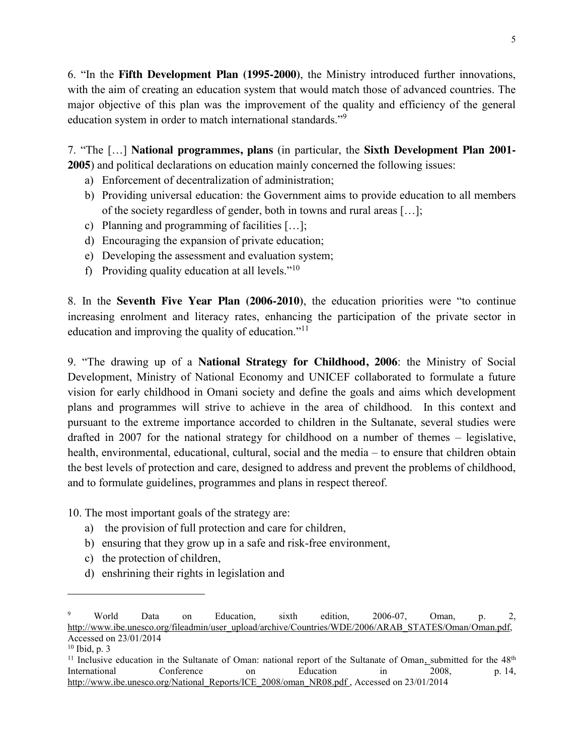6. "In the **Fifth Development Plan (1995-2000)**, the Ministry introduced further innovations, with the aim of creating an education system that would match those of advanced countries. The major objective of this plan was the improvement of the quality and efficiency of the general education system in order to match international standards."<sup>9</sup>

7. "The […] **National programmes, plans** (in particular, the **Sixth Development Plan 2001- 2005**) and political declarations on education mainly concerned the following issues:

- a) Enforcement of decentralization of administration;
- b) Providing universal education: the Government aims to provide education to all members of the society regardless of gender, both in towns and rural areas […];
- c) Planning and programming of facilities […];
- d) Encouraging the expansion of private education;
- e) Developing the assessment and evaluation system;
- f) Providing quality education at all levels." $10$

8. In the **Seventh Five Year Plan (2006-2010)**, the education priorities were "to continue increasing enrolment and literacy rates, enhancing the participation of the private sector in education and improving the quality of education."<sup>11</sup>

9. "The drawing up of a **National Strategy for Childhood, 2006**: the Ministry of Social Development, Ministry of National Economy and UNICEF collaborated to formulate a future vision for early childhood in Omani society and define the goals and aims which development plans and programmes will strive to achieve in the area of childhood. In this context and pursuant to the extreme importance accorded to children in the Sultanate, several studies were drafted in 2007 for the national strategy for childhood on a number of themes – legislative, health, environmental, educational, cultural, social and the media – to ensure that children obtain the best levels of protection and care, designed to address and prevent the problems of childhood, and to formulate guidelines, programmes and plans in respect thereof.

10. The most important goals of the strategy are:

- a) the provision of full protection and care for children,
- b) ensuring that they grow up in a safe and risk-free environment,
- c) the protection of children,
- d) enshrining their rights in legislation and

<sup>9</sup> World Data on Education, sixth edition, 2006-07, Oman, p. 2, http://www.ibe.unesco.org/fileadmin/user\_upload/archive/Countries/WDE/2006/ARAB\_STATES/Oman/Oman.pdf, Accessed on 23/01/2014

 $10$  Ibid, p. 3

<sup>&</sup>lt;sup>11</sup> Inclusive education in the Sultanate of Oman: national report of the Sultanate of Oman<sub>1</sub> submitted for the 48<sup>th</sup> International Conference on Education in 2008, p. 14, http://www.ibe.unesco.org/National\_Reports/ICE\_2008/oman\_NR08.pdf , Accessed on 23/01/2014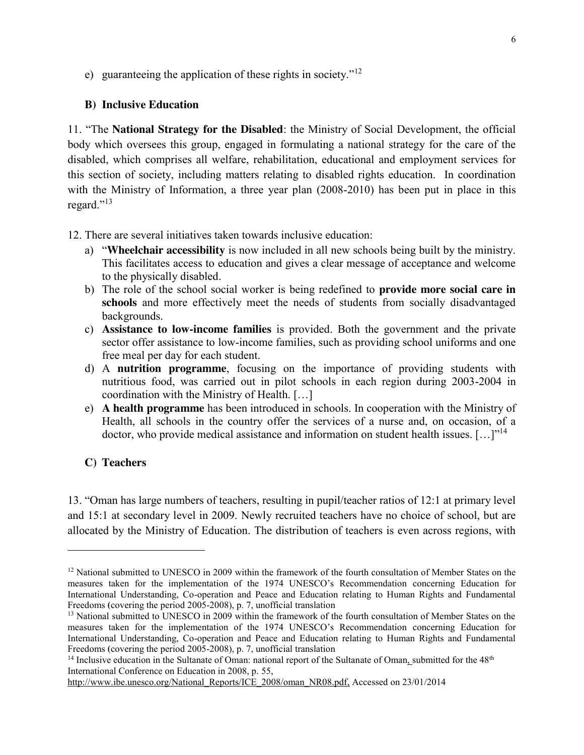e) guaranteeing the application of these rights in society."<sup>12</sup>

### **B) Inclusive Education**

11. "The **National Strategy for the Disabled**: the Ministry of Social Development, the official body which oversees this group, engaged in formulating a national strategy for the care of the disabled, which comprises all welfare, rehabilitation, educational and employment services for this section of society, including matters relating to disabled rights education. In coordination with the Ministry of Information, a three year plan (2008-2010) has been put in place in this regard."<sup>13</sup>

12. There are several initiatives taken towards inclusive education:

- a) "**Wheelchair accessibility** is now included in all new schools being built by the ministry. This facilitates access to education and gives a clear message of acceptance and welcome to the physically disabled.
- b) The role of the school social worker is being redefined to **provide more social care in schools** and more effectively meet the needs of students from socially disadvantaged backgrounds.
- c) **Assistance to low-income families** is provided. Both the government and the private sector offer assistance to low-income families, such as providing school uniforms and one free meal per day for each student.
- d) A **nutrition programme**, focusing on the importance of providing students with nutritious food, was carried out in pilot schools in each region during 2003-2004 in coordination with the Ministry of Health. […]
- e) **A health programme** has been introduced in schools. In cooperation with the Ministry of Health, all schools in the country offer the services of a nurse and, on occasion, of a doctor, who provide medical assistance and information on student health issues.  $[\dots]^{1/4}$

# **C) Teachers**

 $\overline{a}$ 

13. "Oman has large numbers of teachers, resulting in pupil/teacher ratios of 12:1 at primary level and 15:1 at secondary level in 2009. Newly recruited teachers have no choice of school, but are allocated by the Ministry of Education. The distribution of teachers is even across regions, with

<sup>&</sup>lt;sup>12</sup> National submitted to UNESCO in 2009 within the framework of the fourth consultation of Member States on the measures taken for the implementation of the 1974 UNESCO's Recommendation concerning Education for International Understanding, Co-operation and Peace and Education relating to Human Rights and Fundamental Freedoms **(**covering the period 2005-2008), p. 7, unofficial translation

<sup>&</sup>lt;sup>13</sup> National submitted to UNESCO in 2009 within the framework of the fourth consultation of Member States on the measures taken for the implementation of the 1974 UNESCO's Recommendation concerning Education for International Understanding, Co-operation and Peace and Education relating to Human Rights and Fundamental Freedoms **(**covering the period 2005-2008), p. 7, unofficial translation

<sup>&</sup>lt;sup>14</sup> Inclusive education in the Sultanate of Oman: national report of the Sultanate of Oman, submitted for the 48<sup>th</sup> International Conference on Education in 2008, p. 55,

http://www.ibe.unesco.org/National\_Reports/ICE\_2008/oman\_NR08.pdf, Accessed on 23/01/2014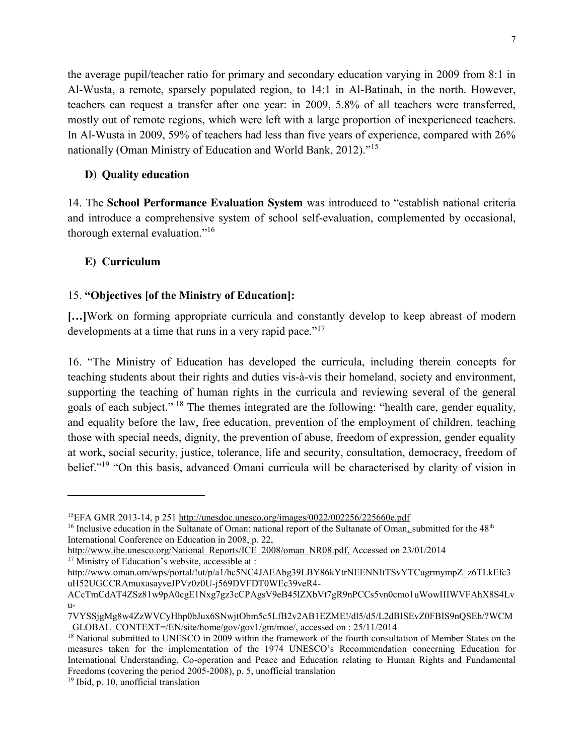the average pupil/teacher ratio for primary and secondary education varying in 2009 from 8:1 in Al-Wusta, a remote, sparsely populated region, to 14:1 in Al-Batinah, in the north. However, teachers can request a transfer after one year: in 2009, 5.8% of all teachers were transferred, mostly out of remote regions, which were left with a large proportion of inexperienced teachers. In Al-Wusta in 2009, 59% of teachers had less than five years of experience, compared with 26% nationally (Oman Ministry of Education and World Bank, 2012)."<sup>15</sup>

### **D) Quality education**

14. The **School Performance Evaluation System** was introduced to "establish national criteria and introduce a comprehensive system of school self-evaluation, complemented by occasional, thorough external evaluation."<sup>16</sup>

# **E) Curriculum**

 $\overline{\phantom{a}}$ 

# 15. **"Objectives [of the Ministry of Education]:**

**[…]**Work on forming appropriate curricula and constantly develop to keep abreast of modern developments at a time that runs in a very rapid pace."<sup>17</sup>

16. "The Ministry of Education has developed the curricula, including therein concepts for teaching students about their rights and duties vis-à-vis their homeland, society and environment, supporting the teaching of human rights in the curricula and reviewing several of the general goals of each subject." <sup>18</sup> The themes integrated are the following: "health care, gender equality, and equality before the law, free education, prevention of the employment of children, teaching those with special needs, dignity, the prevention of abuse, freedom of expression, gender equality at work, social security, justice, tolerance, life and security, consultation, democracy, freedom of belief."<sup>19</sup> "On this basis, advanced Omani curricula will be characterised by clarity of vision in

<sup>15</sup>EFA GMR 2013-14, p 251 http://unesdoc.unesco.org/images/0022/002256/225660e.pdf

<sup>&</sup>lt;sup>16</sup> Inclusive education in the Sultanate of Oman: national report of the Sultanate of Oman<sub>1</sub> submitted for the  $48<sup>th</sup>$ International Conference on Education in 2008, p. 22,

http://www.ibe.unesco.org/National\_Reports/ICE\_2008/oman\_NR08.pdf, Accessed on 23/01/2014 <sup>17</sup> Ministry of Education's website, accessible at :

http://www.oman.om/wps/portal/!ut/p/a1/hc5NC4JAEAbg39LBY86kYtrNEENNItTSvYTCugrmympZ\_z6TLkEfc3 uH52UGCCRAmuxasayveJPVz0z0U-j569DVFDT0WEc39veR4-

ACcTmCdAT4ZSz81w9pA0cgE1Nxg7gz3cCPAgsV9eB45lZXbVt7gR9nPCCs5vn0cmo1uWowIIIWVFAhX8S4Lv  $U-$ 

<sup>7</sup>VYSSjgMg8w4ZzWVCyHhp0bJux6SNwjtObm5c5LfB2v2AB1EZME!/dl5/d5/L2dBISEvZ0FBIS9nQSEh/?WCM \_GLOBAL\_CONTEXT=/EN/site/home/gov/gov1/gm/moe/, accessed on : 25/11/2014

 $\frac{18}{18}$  National submitted to UNESCO in 2009 within the framework of the fourth consultation of Member States on the measures taken for the implementation of the 1974 UNESCO's Recommendation concerning Education for International Understanding, Co-operation and Peace and Education relating to Human Rights and Fundamental Freedoms **(**covering the period 2005-2008), p. 5, unofficial translation

<sup>19</sup> Ibid, p. 10, unofficial translation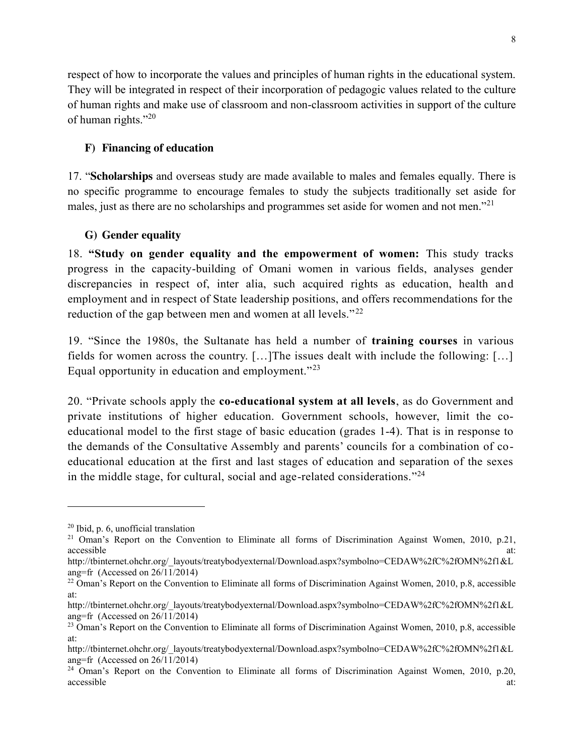respect of how to incorporate the values and principles of human rights in the educational system. They will be integrated in respect of their incorporation of pedagogic values related to the culture of human rights and make use of classroom and non-classroom activities in support of the culture of human rights."<sup>20</sup>

# **F) Financing of education**

17. "**Scholarships** and overseas study are made available to males and females equally. There is no specific programme to encourage females to study the subjects traditionally set aside for males, just as there are no scholarships and programmes set aside for women and not men."<sup>21</sup>

# **G) Gender equality**

18. **"Study on gender equality and the empowerment of women:** This study tracks progress in the capacity-building of Omani women in various fields, analyses gender discrepancies in respect of, inter alia, such acquired rights as education, health and employment and in respect of State leadership positions, and offers recommendations for the reduction of the gap between men and women at all levels."<sup>22</sup>

19. "Since the 1980s, the Sultanate has held a number of **training courses** in various fields for women across the country. […]The issues dealt with include the following: […] Equal opportunity in education and employment."<sup>23</sup>

20. "Private schools apply the **co-educational system at all levels**, as do Government and private institutions of higher education. Government schools, however, limit the coeducational model to the first stage of basic education (grades 1-4). That is in response to the demands of the Consultative Assembly and parents' councils for a combination of coeducational education at the first and last stages of education and separation of the sexes in the middle stage, for cultural, social and age-related considerations."<sup>24</sup>

<sup>20</sup> Ibid, p. 6, unofficial translation

<sup>21</sup> Oman's Report on the Convention to Eliminate all forms of Discrimination Against Women, 2010, p.21, accessible at:  $\overline{a}$  at:  $\overline{a}$  at:  $\overline{a}$  at:  $\overline{a}$  at:  $\overline{a}$  at:  $\overline{a}$ 

http://tbinternet.ohchr.org/\_layouts/treatybodyexternal/Download.aspx?symbolno=CEDAW%2fC%2fOMN%2f1&L ang=fr (Accessed on 26/11/2014)

 $22$  Oman's Report on the Convention to Eliminate all forms of Discrimination Against Women, 2010, p.8, accessible at:

http://tbinternet.ohchr.org/\_layouts/treatybodyexternal/Download.aspx?symbolno=CEDAW%2fC%2fOMN%2f1&L ang=fr (Accessed on 26/11/2014)

<sup>&</sup>lt;sup>23</sup> Oman's Report on the Convention to Eliminate all forms of Discrimination Against Women, 2010, p.8, accessible at:

http://tbinternet.ohchr.org/\_layouts/treatybodyexternal/Download.aspx?symbolno=CEDAW%2fC%2fOMN%2f1&L ang=fr (Accessed on 26/11/2014)

<sup>&</sup>lt;sup>24</sup> Oman's Report on the Convention to Eliminate all forms of Discrimination Against Women, 2010, p.20, accessible at:  $\overline{a}$  at:  $\overline{a}$  at:  $\overline{a}$  at:  $\overline{a}$  at:  $\overline{a}$  at:  $\overline{a}$  at:  $\overline{a}$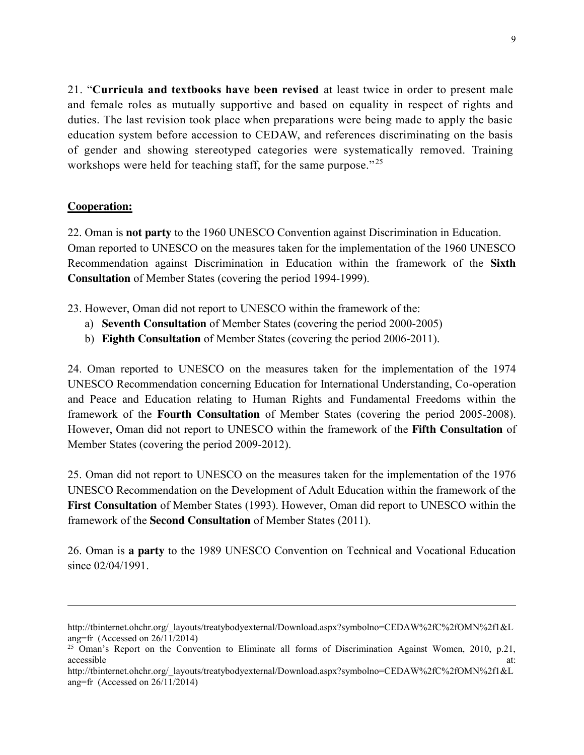21. "**Curricula and textbooks have been revised** at least twice in order to present male and female roles as mutually supportive and based on equality in respect of rights and duties. The last revision took place when preparations were being made to apply the basic education system before accession to CEDAW, and references discriminating on the basis of gender and showing stereotyped categories were systematically removed. Training workshops were held for teaching staff, for the same purpose."<sup>25</sup>

### **Cooperation:**

 $\overline{\phantom{a}}$ 

22. Oman is **not party** to the 1960 UNESCO Convention against Discrimination in Education. Oman reported to UNESCO on the measures taken for the implementation of the 1960 UNESCO Recommendation against Discrimination in Education within the framework of the **Sixth Consultation** of Member States (covering the period 1994-1999).

23. However, Oman did not report to UNESCO within the framework of the:

- a) **Seventh Consultation** of Member States (covering the period 2000-2005)
- b) **Eighth Consultation** of Member States (covering the period 2006-2011).

24. Oman reported to UNESCO on the measures taken for the implementation of the 1974 UNESCO Recommendation concerning Education for International Understanding, Co-operation and Peace and Education relating to Human Rights and Fundamental Freedoms within the framework of the **Fourth Consultation** of Member States (covering the period 2005-2008). However, Oman did not report to UNESCO within the framework of the **Fifth Consultation** of Member States (covering the period 2009-2012).

25. Oman did not report to UNESCO on the measures taken for the implementation of the 1976 UNESCO Recommendation on the Development of Adult Education within the framework of the **First Consultation** of Member States (1993). However, Oman did report to UNESCO within the framework of the **Second Consultation** of Member States (2011).

26. Oman is **a party** to the 1989 UNESCO Convention on Technical and Vocational Education since  $02/04/1991$ .

http://tbinternet.ohchr.org/\_layouts/treatybodyexternal/Download.aspx?symbolno=CEDAW%2fC%2fOMN%2f1&L ang=fr (Accessed on 26/11/2014)

 $25$  Oman's Report on the Convention to Eliminate all forms of Discrimination Against Women, 2010, p.21, accessible at:  $\overline{a}$  at:  $\overline{a}$  at:  $\overline{a}$  at:  $\overline{a}$  at:  $\overline{a}$  at:  $\overline{a}$ 

http://tbinternet.ohchr.org/\_layouts/treatybodyexternal/Download.aspx?symbolno=CEDAW%2fC%2fOMN%2f1&L ang=fr (Accessed on 26/11/2014)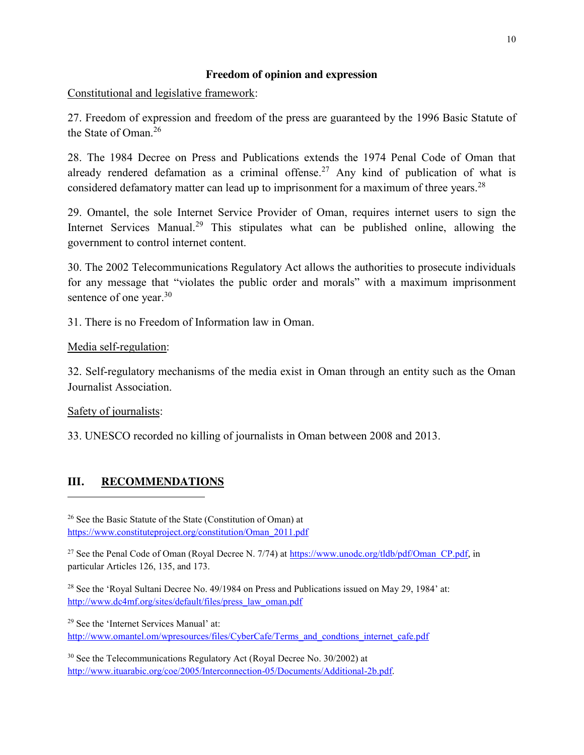#### **Freedom of opinion and expression**

Constitutional and legislative framework:

27. Freedom of expression and freedom of the press are guaranteed by the 1996 Basic Statute of the State of Oman<sup>26</sup>

28. The 1984 Decree on Press and Publications extends the 1974 Penal Code of Oman that already rendered defamation as a criminal offense.<sup>27</sup> Any kind of publication of what is considered defamatory matter can lead up to imprisonment for a maximum of three vears.<sup>28</sup>

29. Omantel, the sole Internet Service Provider of Oman, requires internet users to sign the Internet Services Manual.<sup>29</sup> This stipulates what can be published online, allowing the government to control internet content.

30. The 2002 Telecommunications Regulatory Act allows the authorities to prosecute individuals for any message that "violates the public order and morals" with a maximum imprisonment sentence of one year.<sup>30</sup>

31. There is no Freedom of Information law in Oman.

Media self-regulation:

32. Self-regulatory mechanisms of the media exist in Oman through an entity such as the Oman Journalist Association.

Safety of journalists:

l

33. UNESCO recorded no killing of journalists in Oman between 2008 and 2013.

# **III. RECOMMENDATIONS**

<sup>26</sup> See the Basic Statute of the State (Constitution of Oman) at https://www.constituteproject.org/constitution/Oman\_2011.pdf

<sup>27</sup> See the Penal Code of Oman (Royal Decree N. 7/74) at  $\frac{https://www.unode.org/tldb/pdf/Oman CP.pdf}{https://www.unode.org/tldb/pdf/Oman CP.pdf}$ , in particular Articles 126, 135, and 173.

<sup>28</sup> See the 'Royal Sultani Decree No. 49/1984 on Press and Publications issued on May 29, 1984' at: http://www.dc4mf.org/sites/default/files/press\_law\_oman.pdf

<sup>29</sup> See the 'Internet Services Manual' at: http://www.omantel.om/wpresources/files/CyberCafe/Terms\_and\_condtions\_internet\_cafe.pdf

<sup>30</sup> See the Telecommunications Regulatory Act (Royal Decree No. 30/2002) at http://www.ituarabic.org/coe/2005/Interconnection-05/Documents/Additional-2b.pdf.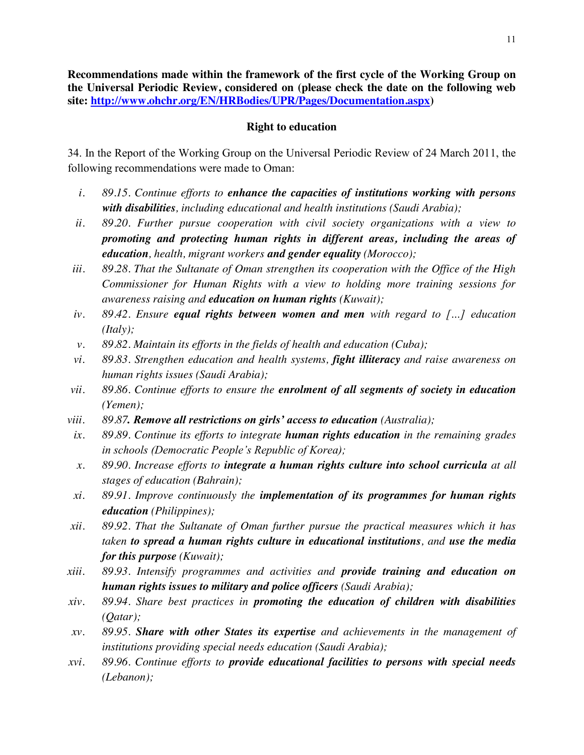**Recommendations made within the framework of the first cycle of the Working Group on the Universal Periodic Review, considered on (please check the date on the following web site: http://www.ohchr.org/EN/HRBodies/UPR/Pages/Documentation.aspx)** 

#### **Right to education**

34. In the Report of the Working Group on the Universal Periodic Review of 24 March 2011, the following recommendations were made to Oman:

- *i. 89.15. Continue efforts to enhance the capacities of institutions working with persons with disabilities, including educational and health institutions (Saudi Arabia);*
- *ii. 89.20. Further pursue cooperation with civil society organizations with a view to promoting and protecting human rights in different areas, including the areas of education, health, migrant workers and gender equality (Morocco);*
- *iii. 89.28. That the Sultanate of Oman strengthen its cooperation with the Office of the High Commissioner for Human Rights with a view to holding more training sessions for awareness raising and education on human rights (Kuwait);*
- *iv. 89.42. Ensure equal rights between women and men with regard to […] education (Italy);*
- *v. 89.82. Maintain its efforts in the fields of health and education (Cuba);*
- *vi. 89.83. Strengthen education and health systems, fight illiteracy and raise awareness on human rights issues (Saudi Arabia);*
- *vii. 89.86. Continue efforts to ensure the enrolment of all segments of society in education (Yemen);*
- *viii. 89.87. Remove all restrictions on girls' access to education (Australia);*
- *ix. 89.89. Continue its efforts to integrate human rights education in the remaining grades in schools (Democratic People's Republic of Korea);*
- *x. 89.90. Increase efforts to integrate a human rights culture into school curricula at all stages of education (Bahrain);*
- *xi. 89.91. Improve continuously the implementation of its programmes for human rights education (Philippines);*
- *xii. 89.92. That the Sultanate of Oman further pursue the practical measures which it has taken to spread a human rights culture in educational institutions, and use the media for this purpose (Kuwait);*
- *xiii. 89.93. Intensify programmes and activities and provide training and education on human rights issues to military and police officers (Saudi Arabia);*
- *xiv. 89.94. Share best practices in promoting the education of children with disabilities (Qatar);*
- *xv. 89.95. Share with other States its expertise and achievements in the management of institutions providing special needs education (Saudi Arabia);*
- *xvi. 89.96. Continue efforts to provide educational facilities to persons with special needs (Lebanon);*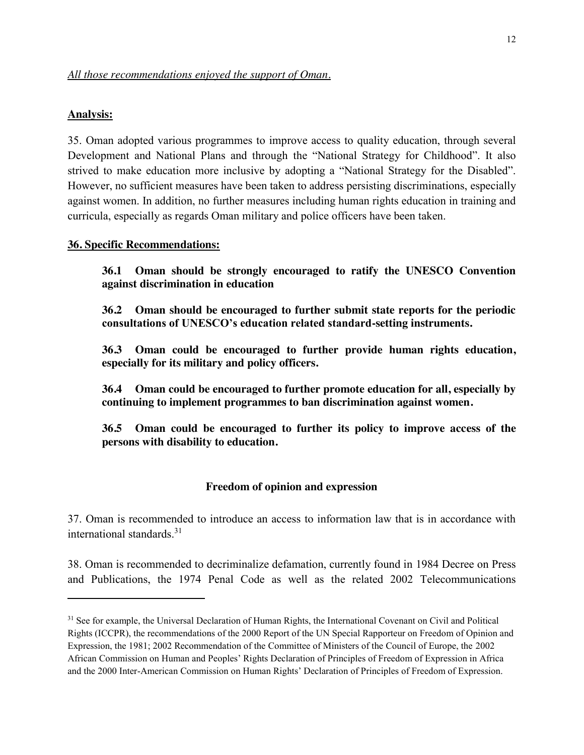#### **Analysis:**

 $\overline{\phantom{a}}$ 

35. Oman adopted various programmes to improve access to quality education, through several Development and National Plans and through the "National Strategy for Childhood". It also strived to make education more inclusive by adopting a "National Strategy for the Disabled". However, no sufficient measures have been taken to address persisting discriminations, especially against women. In addition, no further measures including human rights education in training and curricula, especially as regards Oman military and police officers have been taken.

#### **36. Specific Recommendations:**

**36.1 Oman should be strongly encouraged to ratify the UNESCO Convention against discrimination in education**

**36.2 Oman should be encouraged to further submit state reports for the periodic consultations of UNESCO's education related standard-setting instruments.**

**36.3 Oman could be encouraged to further provide human rights education, especially for its military and policy officers.**

**36.4 Oman could be encouraged to further promote education for all, especially by continuing to implement programmes to ban discrimination against women.**

**36.5 Oman could be encouraged to further its policy to improve access of the persons with disability to education.**

#### **Freedom of opinion and expression**

37. Oman is recommended to introduce an access to information law that is in accordance with international standards $31$ 

38. Oman is recommended to decriminalize defamation, currently found in 1984 Decree on Press and Publications, the 1974 Penal Code as well as the related 2002 Telecommunications

<sup>&</sup>lt;sup>31</sup> See for example, the Universal Declaration of Human Rights, the International Covenant on Civil and Political Rights (ICCPR), the recommendations of the 2000 Report of the UN Special Rapporteur on Freedom of Opinion and Expression, the 1981; 2002 Recommendation of the Committee of Ministers of the Council of Europe, the 2002 African Commission on Human and Peoples' Rights Declaration of Principles of Freedom of Expression in Africa and the 2000 Inter-American Commission on Human Rights' Declaration of Principles of Freedom of Expression.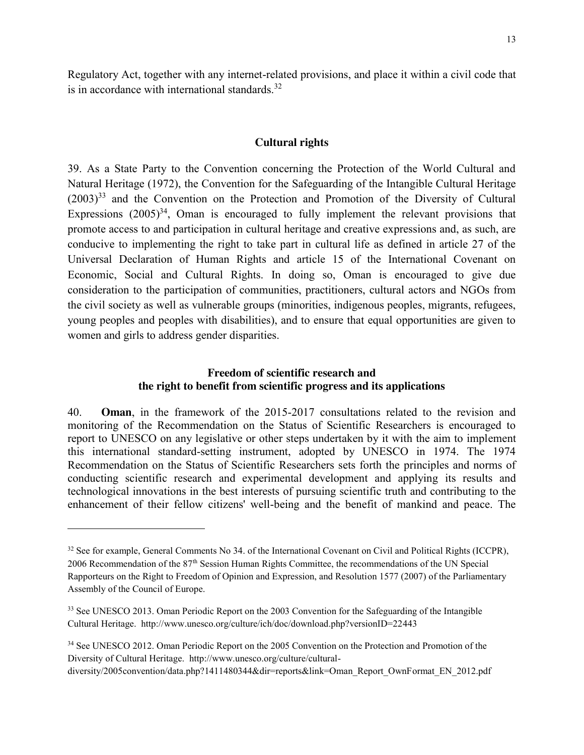Regulatory Act, together with any internet-related provisions, and place it within a civil code that is in accordance with international standards. $32$ 

#### **Cultural rights**

39. As a State Party to the Convention concerning the Protection of the World Cultural and Natural Heritage (1972), the Convention for the Safeguarding of the Intangible Cultural Heritage  $(2003)^{33}$  and the Convention on the Protection and Promotion of the Diversity of Cultural Expressions  $(2005)^{34}$ , Oman is encouraged to fully implement the relevant provisions that promote access to and participation in cultural heritage and creative expressions and, as such, are conducive to implementing the right to take part in cultural life as defined in article 27 of the Universal Declaration of Human Rights and article 15 of the International Covenant on Economic, Social and Cultural Rights. In doing so, Oman is encouraged to give due consideration to the participation of communities, practitioners, cultural actors and NGOs from the civil society as well as vulnerable groups (minorities, indigenous peoples, migrants, refugees, young peoples and peoples with disabilities), and to ensure that equal opportunities are given to women and girls to address gender disparities.

### **Freedom of scientific research and the right to benefit from scientific progress and its applications**

40. **Oman**, in the framework of the 2015-2017 consultations related to the revision and monitoring of the Recommendation on the Status of Scientific Researchers is encouraged to report to UNESCO on any legislative or other steps undertaken by it with the aim to implement this international standard-setting instrument, adopted by UNESCO in 1974. The 1974 Recommendation on the Status of Scientific Researchers sets forth the principles and norms of conducting scientific research and experimental development and applying its results and technological innovations in the best interests of pursuing scientific truth and contributing to the enhancement of their fellow citizens' well-being and the benefit of mankind and peace. The

<sup>&</sup>lt;sup>32</sup> See for example, General Comments No 34. of the International Covenant on Civil and Political Rights (ICCPR), 2006 Recommendation of the 87th Session Human Rights Committee, the recommendations of the UN Special Rapporteurs on the Right to Freedom of Opinion and Expression, and Resolution 1577 (2007) of the Parliamentary Assembly of the Council of Europe.

<sup>&</sup>lt;sup>33</sup> See UNESCO 2013. Oman Periodic Report on the 2003 Convention for the Safeguarding of the Intangible Cultural Heritage. http://www.unesco.org/culture/ich/doc/download.php?versionID=22443

<sup>34</sup> See UNESCO 2012. Oman Periodic Report on the 2005 Convention on the Protection and Promotion of the Diversity of Cultural Heritage. http://www.unesco.org/culture/culturaldiversity/2005convention/data.php?1411480344&dir=reports&link=Oman\_Report\_OwnFormat\_EN\_2012.pdf